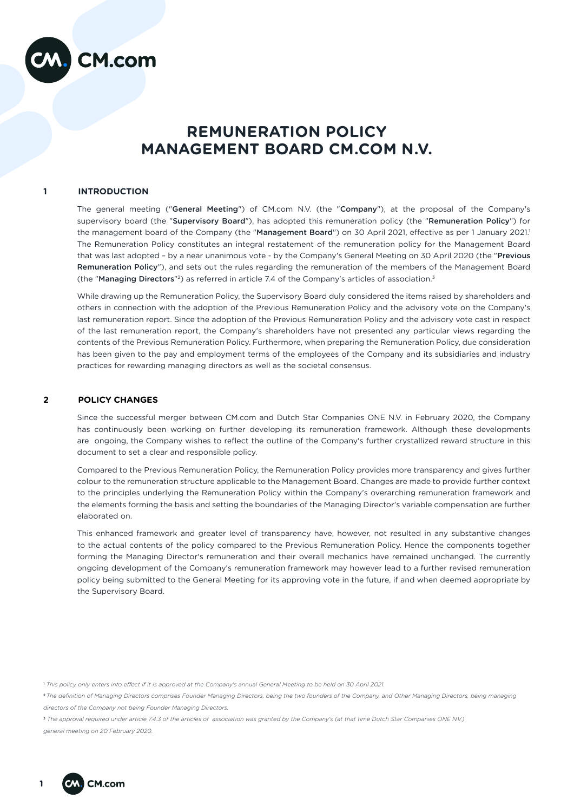

# **REMUNERATION POLICY MANAGEMENT BOARD CM.COM N.V.**

## **1 INTRODUCTION**

The general meeting ("General Meeting") of CM.com N.V. (the "Company"), at the proposal of the Company's supervisory board (the "Supervisory Board"), has adopted this remuneration policy (the "Remuneration Policy") for the management board of the Company (the "Management Board") on 30 April 2021, effective as per 1 January 2021.<sup>1</sup> The Remuneration Policy constitutes an integral restatement of the remuneration policy for the Management Board that was last adopted - by a near unanimous vote - by the Company's General Meeting on 30 April 2020 (the "Previous Remuneration Policy"), and sets out the rules regarding the remuneration of the members of the Management Board (the "Managing Directors"<sup>2</sup>) as referred in article 7.4 of the Company's articles of association.<sup>3</sup>

While drawing up the Remuneration Policy, the Supervisory Board duly considered the items raised by shareholders and others in connection with the adoption of the Previous Remuneration Policy and the advisory vote on the Company's last remuneration report. Since the adoption of the Previous Remuneration Policy and the advisory vote cast in respect of the last remuneration report, the Company's shareholders have not presented any particular views regarding the contents of the Previous Remuneration Policy. Furthermore, when preparing the Remuneration Policy, due consideration has been given to the pay and employment terms of the employees of the Company and its subsidiaries and industry practices for rewarding managing directors as well as the societal consensus.

## **2 POLICY CHANGES**

Since the successful merger between CM.com and Dutch Star Companies ONE N.V. in February 2020, the Company has continuously been working on further developing its remuneration framework. Although these developments are ongoing, the Company wishes to reflect the outline of the Company's further crystallized reward structure in this document to set a clear and responsible policy.

Compared to the Previous Remuneration Policy, the Remuneration Policy provides more transparency and gives further colour to the remuneration structure applicable to the Management Board. Changes are made to provide further context to the principles underlying the Remuneration Policy within the Company's overarching remuneration framework and the elements forming the basis and setting the boundaries of the Managing Director's variable compensation are further elaborated on.

This enhanced framework and greater level of transparency have, however, not resulted in any substantive changes to the actual contents of the policy compared to the Previous Remuneration Policy. Hence the components together forming the Managing Director's remuneration and their overall mechanics have remained unchanged. The currently ongoing development of the Company's remuneration framework may however lead to a further revised remuneration policy being submitted to the General Meeting for its approving vote in the future, if and when deemed appropriate by the Supervisory Board.

<sup>&</sup>lt;sup>3</sup> The approval required under article 7.4.3 of the articles of association was granted by the Company's (at that time Dutch Star Companies ONE N.V.) *general meeting on 20 February 2020.*



<sup>1</sup>  *This policy only enters into effect if it is approved at the Company's annual General Meeting to be held on 30 April 2021.* 

<sup>2</sup>*The definition of Managing Directors comprises Founder Managing Directors, being the two founders of the Company, and Other Managing Directors, being managing directors of the Company not being Founder Managing Directors.*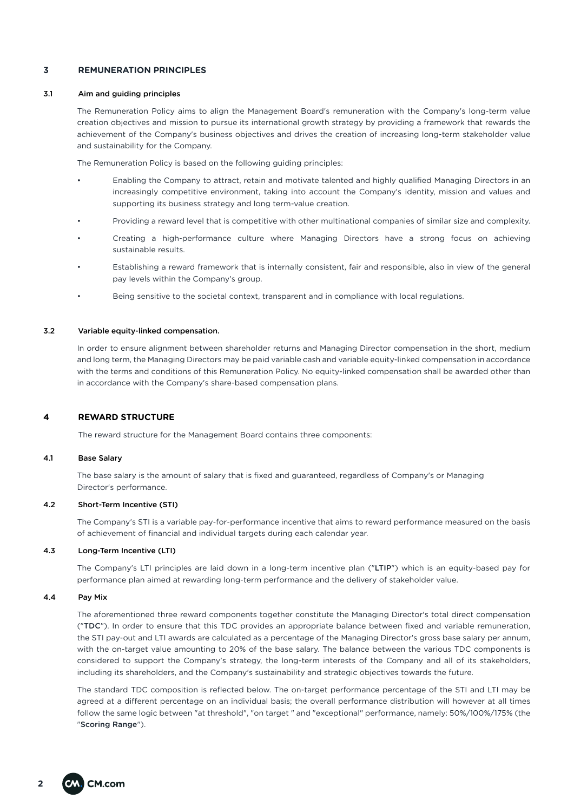# **3 REMUNERATION PRINCIPLES**

#### 3.1 Aim and guiding principles

The Remuneration Policy aims to align the Management Board's remuneration with the Company's long-term value creation objectives and mission to pursue its international growth strategy by providing a framework that rewards the achievement of the Company's business objectives and drives the creation of increasing long-term stakeholder value and sustainability for the Company.

The Remuneration Policy is based on the following guiding principles:

- Enabling the Company to attract, retain and motivate talented and highly qualified Managing Directors in an increasingly competitive environment, taking into account the Company's identity, mission and values and supporting its business strategy and long term-value creation.
- Providing a reward level that is competitive with other multinational companies of similar size and complexity.
- Creating a high-performance culture where Managing Directors have a strong focus on achieving sustainable results.
- Establishing a reward framework that is internally consistent, fair and responsible, also in view of the general pay levels within the Company's group.
- Being sensitive to the societal context, transparent and in compliance with local regulations.

## 3.2 Variable equity-linked compensation.

In order to ensure alignment between shareholder returns and Managing Director compensation in the short, medium and long term, the Managing Directors may be paid variable cash and variable equity-linked compensation in accordance with the terms and conditions of this Remuneration Policy. No equity-linked compensation shall be awarded other than in accordance with the Company's share-based compensation plans.

# **4 REWARD STRUCTURE**

The reward structure for the Management Board contains three components:

## 4.1 Base Salary

The base salary is the amount of salary that is fixed and guaranteed, regardless of Company's or Managing Director's performance.

#### 4.2 Short-Term Incentive (STI)

The Company's STI is a variable pay-for-performance incentive that aims to reward performance measured on the basis of achievement of financial and individual targets during each calendar year.

## 4.3 Long-Term Incentive (LTI)

The Company's LTI principles are laid down in a long-term incentive plan ("LTIP") which is an equity-based pay for performance plan aimed at rewarding long-term performance and the delivery of stakeholder value.

#### 4.4 Pay Mix

The aforementioned three reward components together constitute the Managing Director's total direct compensation ("TDC"). In order to ensure that this TDC provides an appropriate balance between fixed and variable remuneration, the STI pay-out and LTI awards are calculated as a percentage of the Managing Director's gross base salary per annum, with the on-target value amounting to 20% of the base salary. The balance between the various TDC components is considered to support the Company's strategy, the long-term interests of the Company and all of its stakeholders, including its shareholders, and the Company's sustainability and strategic objectives towards the future.

The standard TDC composition is reflected below. The on-target performance percentage of the STI and LTI may be agreed at a different percentage on an individual basis; the overall performance distribution will however at all times follow the same logic between "at threshold", "on target " and "exceptional" performance, namely: 50%/100%/175% (the "Scoring Range").

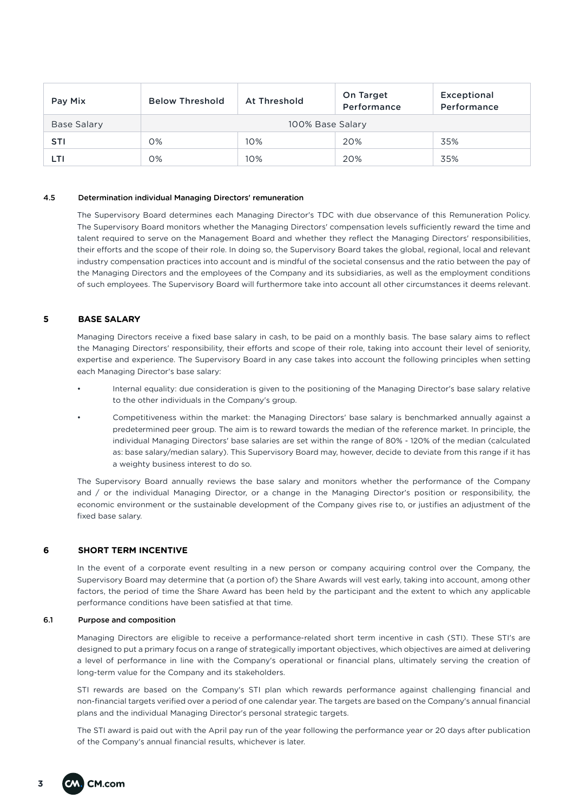| Pay Mix     | <b>Below Threshold</b> | At Threshold | On Target<br>Performance | Exceptional<br>Performance |  |  |  |
|-------------|------------------------|--------------|--------------------------|----------------------------|--|--|--|
| Base Salary | 100% Base Salary       |              |                          |                            |  |  |  |
| <b>STI</b>  | 0%                     | 10%          | 20%                      | 35%                        |  |  |  |
| LTI         | 0%                     | 10%          | 20%                      | 35%                        |  |  |  |

#### 4.5 Determination individual Managing Directors' remuneration

The Supervisory Board determines each Managing Director's TDC with due observance of this Remuneration Policy. The Supervisory Board monitors whether the Managing Directors' compensation levels sufficiently reward the time and talent required to serve on the Management Board and whether they reflect the Managing Directors' responsibilities, their efforts and the scope of their role. In doing so, the Supervisory Board takes the global, regional, local and relevant industry compensation practices into account and is mindful of the societal consensus and the ratio between the pay of the Managing Directors and the employees of the Company and its subsidiaries, as well as the employment conditions of such employees. The Supervisory Board will furthermore take into account all other circumstances it deems relevant.

# **5 BASE SALARY**

Managing Directors receive a fixed base salary in cash, to be paid on a monthly basis. The base salary aims to reflect the Managing Directors' responsibility, their efforts and scope of their role, taking into account their level of seniority, expertise and experience. The Supervisory Board in any case takes into account the following principles when setting each Managing Director's base salary:

- Internal equality: due consideration is given to the positioning of the Managing Director's base salary relative to the other individuals in the Company's group.
- Competitiveness within the market: the Managing Directors' base salary is benchmarked annually against a predetermined peer group. The aim is to reward towards the median of the reference market. In principle, the individual Managing Directors' base salaries are set within the range of 80% - 120% of the median (calculated as: base salary/median salary). This Supervisory Board may, however, decide to deviate from this range if it has a weighty business interest to do so.

The Supervisory Board annually reviews the base salary and monitors whether the performance of the Company and / or the individual Managing Director, or a change in the Managing Director's position or responsibility, the economic environment or the sustainable development of the Company gives rise to, or justifies an adjustment of the fixed base salary.

## **6 SHORT TERM INCENTIVE**

In the event of a corporate event resulting in a new person or company acquiring control over the Company, the Supervisory Board may determine that (a portion of) the Share Awards will vest early, taking into account, among other factors, the period of time the Share Award has been held by the participant and the extent to which any applicable performance conditions have been satisfied at that time.

## 6.1 Purpose and composition

Managing Directors are eligible to receive a performance-related short term incentive in cash (STI). These STI's are designed to put a primary focus on a range of strategically important objectives, which objectives are aimed at delivering a level of performance in line with the Company's operational or financial plans, ultimately serving the creation of long-term value for the Company and its stakeholders.

STI rewards are based on the Company's STI plan which rewards performance against challenging financial and non-financial targets verified over a period of one calendar year. The targets are based on the Company's annual financial plans and the individual Managing Director's personal strategic targets.

The STI award is paid out with the April pay run of the year following the performance year or 20 days after publication of the Company's annual financial results, whichever is later.

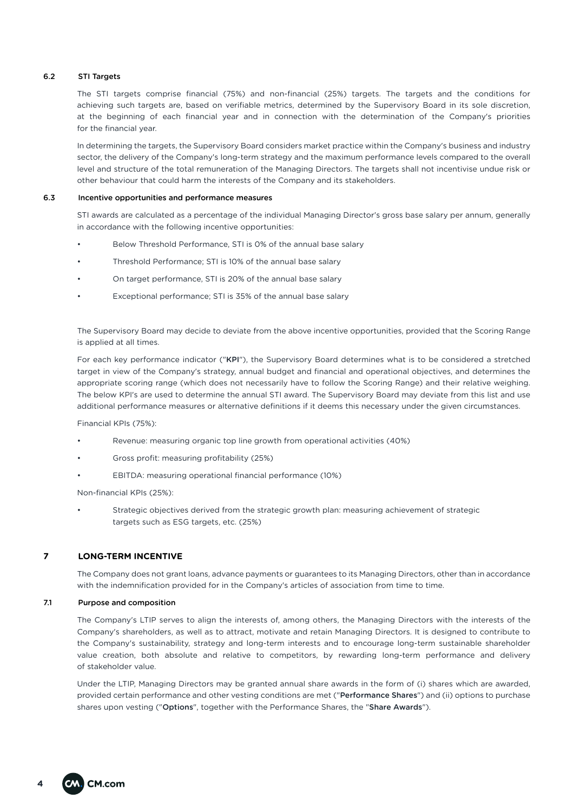## 6.2 STI Targets

The STI targets comprise financial (75%) and non-financial (25%) targets. The targets and the conditions for achieving such targets are, based on verifiable metrics, determined by the Supervisory Board in its sole discretion, at the beginning of each financial year and in connection with the determination of the Company's priorities for the financial year.

In determining the targets, the Supervisory Board considers market practice within the Company's business and industry sector, the delivery of the Company's long-term strategy and the maximum performance levels compared to the overall level and structure of the total remuneration of the Managing Directors. The targets shall not incentivise undue risk or other behaviour that could harm the interests of the Company and its stakeholders.

## 6.3 Incentive opportunities and performance measures

STI awards are calculated as a percentage of the individual Managing Director's gross base salary per annum, generally in accordance with the following incentive opportunities:

- Below Threshold Performance, STI is 0% of the annual base salary
- Threshold Performance; STI is 10% of the annual base salary
- On target performance, STI is 20% of the annual base salary
- Exceptional performance; STI is 35% of the annual base salary

The Supervisory Board may decide to deviate from the above incentive opportunities, provided that the Scoring Range is applied at all times.

For each key performance indicator ("KPI"), the Supervisory Board determines what is to be considered a stretched target in view of the Company's strategy, annual budget and financial and operational objectives, and determines the appropriate scoring range (which does not necessarily have to follow the Scoring Range) and their relative weighing. The below KPI's are used to determine the annual STI award. The Supervisory Board may deviate from this list and use additional performance measures or alternative definitions if it deems this necessary under the given circumstances.

Financial KPIs (75%):

- Revenue: measuring organic top line growth from operational activities (40%)
- Gross profit: measuring profitability (25%)
- EBITDA: measuring operational financial performance (10%)

Non-financial KPIs (25%):

• Strategic objectives derived from the strategic growth plan: measuring achievement of strategic targets such as ESG targets, etc. (25%)

# **7 LONG-TERM INCENTIVE**

The Company does not grant loans, advance payments or guarantees to its Managing Directors, other than in accordance with the indemnification provided for in the Company's articles of association from time to time.

#### 7.1 Purpose and composition

The Company's LTIP serves to align the interests of, among others, the Managing Directors with the interests of the Company's shareholders, as well as to attract, motivate and retain Managing Directors. It is designed to contribute to the Company's sustainability, strategy and long-term interests and to encourage long-term sustainable shareholder value creation, both absolute and relative to competitors, by rewarding long-term performance and delivery of stakeholder value.

Under the LTIP, Managing Directors may be granted annual share awards in the form of (i) shares which are awarded, provided certain performance and other vesting conditions are met ("Performance Shares") and (ii) options to purchase shares upon vesting ("Options", together with the Performance Shares, the "Share Awards").

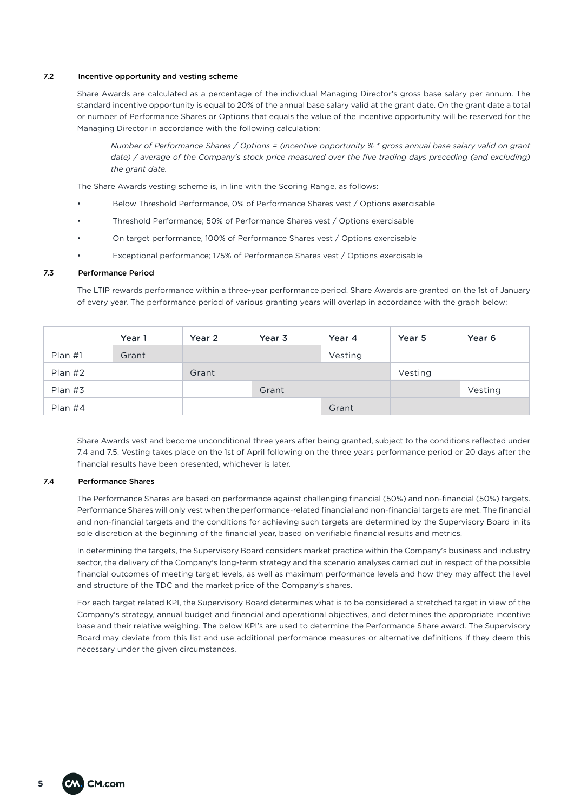#### 7.2 Incentive opportunity and vesting scheme

Share Awards are calculated as a percentage of the individual Managing Director's gross base salary per annum. The standard incentive opportunity is equal to 20% of the annual base salary valid at the grant date. On the grant date a total or number of Performance Shares or Options that equals the value of the incentive opportunity will be reserved for the Managing Director in accordance with the following calculation:

*Number of Performance Shares / Options = (incentive opportunity % \* gross annual base salary valid on grant*  date) / average of the Company's stock price measured over the five trading days preceding (and excluding) *the grant date.*

The Share Awards vesting scheme is, in line with the Scoring Range, as follows:

- Below Threshold Performance, 0% of Performance Shares vest / Options exercisable
- Threshold Performance; 50% of Performance Shares vest / Options exercisable
- On target performance, 100% of Performance Shares vest / Options exercisable
- Exceptional performance; 175% of Performance Shares vest / Options exercisable

#### 7.3 Performance Period

The LTIP rewards performance within a three-year performance period. Share Awards are granted on the 1st of January of every year. The performance period of various granting years will overlap in accordance with the graph below:

|           | Year 1 | Year 2 | Year 3 | Year 4  | Year 5  | Year <sub>6</sub> |
|-----------|--------|--------|--------|---------|---------|-------------------|
| $Plan$ #1 | Grant  |        |        | Vesting |         |                   |
| $Plan$ #2 |        | Grant  |        |         | Vesting |                   |
| Plan #3   |        |        | Grant  |         |         | Vesting           |
| Plan $#4$ |        |        |        | Grant   |         |                   |

Share Awards vest and become unconditional three years after being granted, subject to the conditions reflected under 7.4 and 7.5. Vesting takes place on the 1st of April following on the three years performance period or 20 days after the financial results have been presented, whichever is later.

## 7.4 Performance Shares

The Performance Shares are based on performance against challenging financial (50%) and non-financial (50%) targets. Performance Shares will only vest when the performance-related financial and non-financial targets are met. The financial and non-financial targets and the conditions for achieving such targets are determined by the Supervisory Board in its sole discretion at the beginning of the financial year, based on verifiable financial results and metrics.

In determining the targets, the Supervisory Board considers market practice within the Company's business and industry sector, the delivery of the Company's long-term strategy and the scenario analyses carried out in respect of the possible financial outcomes of meeting target levels, as well as maximum performance levels and how they may affect the level and structure of the TDC and the market price of the Company's shares.

For each target related KPI, the Supervisory Board determines what is to be considered a stretched target in view of the Company's strategy, annual budget and financial and operational objectives, and determines the appropriate incentive base and their relative weighing. The below KPI's are used to determine the Performance Share award. The Supervisory Board may deviate from this list and use additional performance measures or alternative definitions if they deem this necessary under the given circumstances.

**5**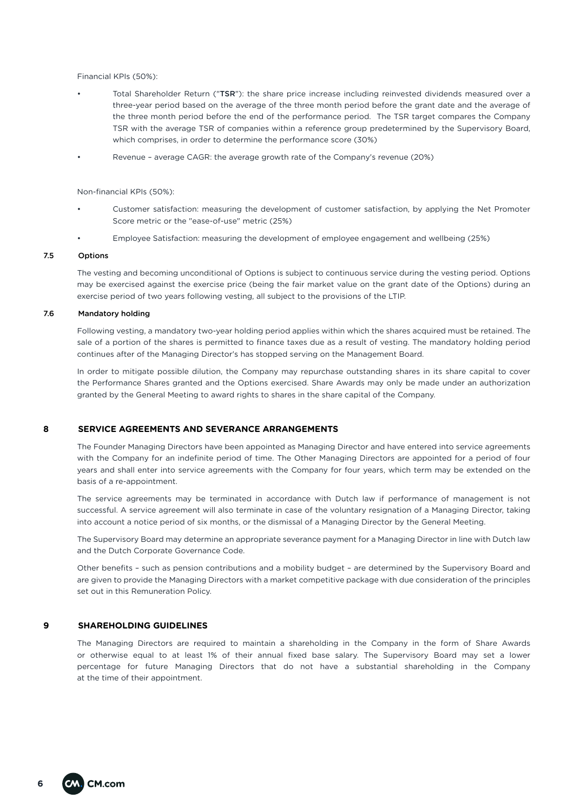Financial KPIs (50%):

- Total Shareholder Return ("TSR"): the share price increase including reinvested dividends measured over a three-year period based on the average of the three month period before the grant date and the average of the three month period before the end of the performance period. The TSR target compares the Company TSR with the average TSR of companies within a reference group predetermined by the Supervisory Board, which comprises, in order to determine the performance score (30%)
- Revenue average CAGR: the average growth rate of the Company's revenue (20%)

Non-financial KPIs (50%):

- Customer satisfaction: measuring the development of customer satisfaction, by applying the Net Promoter Score metric or the "ease-of-use" metric (25%)
- Employee Satisfaction: measuring the development of employee engagement and wellbeing (25%)

## 7.5 Options

The vesting and becoming unconditional of Options is subject to continuous service during the vesting period. Options may be exercised against the exercise price (being the fair market value on the grant date of the Options) during an exercise period of two years following vesting, all subject to the provisions of the LTIP.

#### 7.6 Mandatory holding

Following vesting, a mandatory two-year holding period applies within which the shares acquired must be retained. The sale of a portion of the shares is permitted to finance taxes due as a result of vesting. The mandatory holding period continues after of the Managing Director's has stopped serving on the Management Board.

In order to mitigate possible dilution, the Company may repurchase outstanding shares in its share capital to cover the Performance Shares granted and the Options exercised. Share Awards may only be made under an authorization granted by the General Meeting to award rights to shares in the share capital of the Company.

# **8 SERVICE AGREEMENTS AND SEVERANCE ARRANGEMENTS**

The Founder Managing Directors have been appointed as Managing Director and have entered into service agreements with the Company for an indefinite period of time. The Other Managing Directors are appointed for a period of four years and shall enter into service agreements with the Company for four years, which term may be extended on the basis of a re-appointment.

The service agreements may be terminated in accordance with Dutch law if performance of management is not successful. A service agreement will also terminate in case of the voluntary resignation of a Managing Director, taking into account a notice period of six months, or the dismissal of a Managing Director by the General Meeting.

The Supervisory Board may determine an appropriate severance payment for a Managing Director in line with Dutch law and the Dutch Corporate Governance Code.

Other benefits – such as pension contributions and a mobility budget – are determined by the Supervisory Board and are given to provide the Managing Directors with a market competitive package with due consideration of the principles set out in this Remuneration Policy.

#### **9 SHAREHOLDING GUIDELINES**

The Managing Directors are required to maintain a shareholding in the Company in the form of Share Awards or otherwise equal to at least 1% of their annual fixed base salary. The Supervisory Board may set a lower percentage for future Managing Directors that do not have a substantial shareholding in the Company at the time of their appointment.